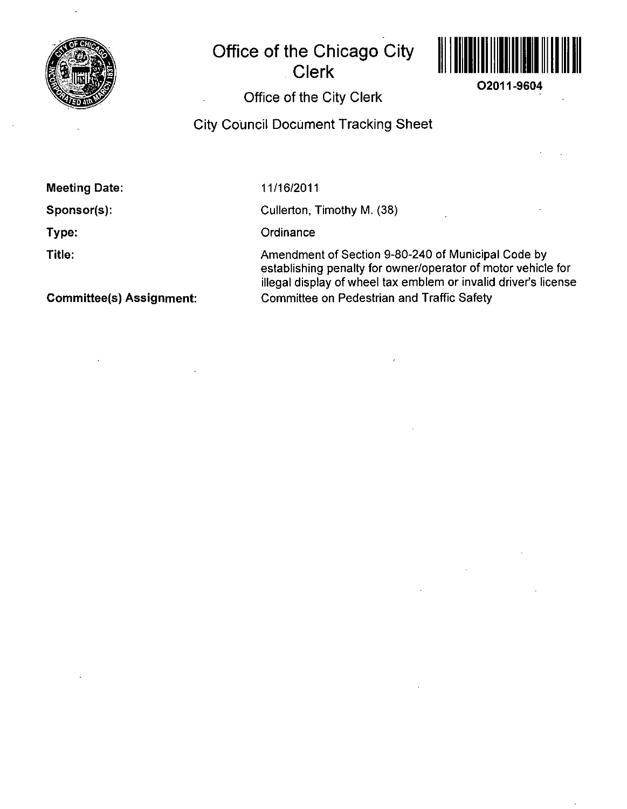

# **Office of the Chicago City Clerk**



**02011-9604** 

## Office Of the City Clerk

#### City Council Document Tracking Sheet

Meeting Date:

Sponsor(s):

Type:

Title:

11/16/2011

Cullerton, Timothy M. (38)

**Ordinance** 

Amendment of Section 9-80-240 of Municipal Code by establishing penalty for owner/operator of motor vehicle for illegal display of wheel tax emblem or invalid driver's license Committee on Pedestrian and Traffic Safety

Committee(s) Assignment: